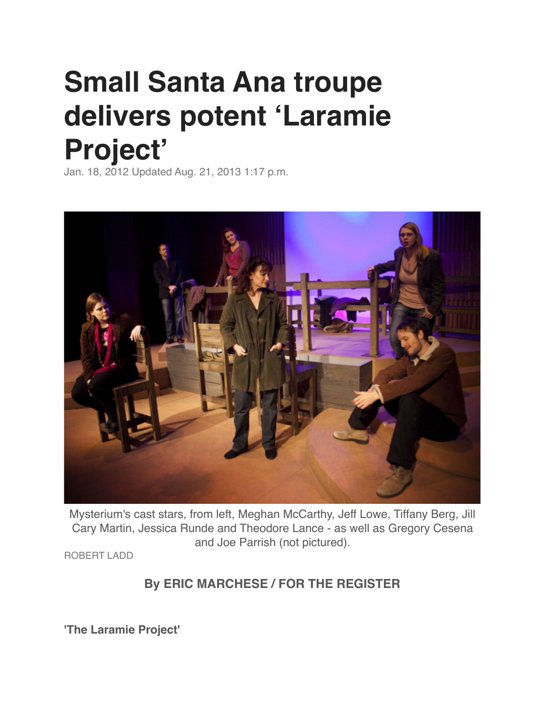## **Small Santa Ana troupe delivers potent 'Laramie Project'**

Jan. 18, 2012 Updated Aug. 21, 2013 1:17 p.m.



Mysterium's cast stars, from left, Meghan McCarthy, Jeff Lowe, Tiffany Berg, Jill Cary Martin, Jessica Runde and Theodore Lance - as well as Gregory Cesena and Joe Parrish (not pictured).

ROBERT LADD

## **By ERIC MARCHESE / FOR THE REGISTER**

**'The Laramie Project'**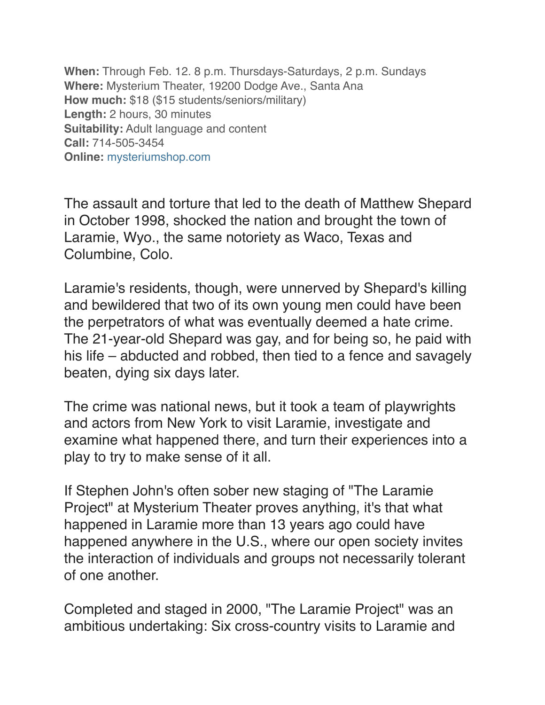**When:** Through Feb. 12. 8 p.m. Thursdays-Saturdays, 2 p.m. Sundays **Where:** Mysterium Theater, 19200 Dodge Ave., Santa Ana **How much:** \$18 (\$15 students/seniors/military) **Length:** 2 hours, 30 minutes **Suitability:** Adult language and content **Call:** 714-505-3454 **Online:** [mysteriumshop.com](http://mysteriumshop.com/index.htm)

The assault and torture that led to the death of Matthew Shepard in October 1998, shocked the nation and brought the town of Laramie, Wyo., the same notoriety as Waco, Texas and Columbine, Colo.

Laramie's residents, though, were unnerved by Shepard's killing and bewildered that two of its own young men could have been the perpetrators of what was eventually deemed a hate crime. The 21-year-old Shepard was gay, and for being so, he paid with his life – abducted and robbed, then tied to a fence and savagely beaten, dying six days later.

The crime was national news, but it took a team of playwrights and actors from New York to visit Laramie, investigate and examine what happened there, and turn their experiences into a play to try to make sense of it all.

If Stephen John's often sober new staging of "The Laramie Project" at Mysterium Theater proves anything, it's that what happened in Laramie more than 13 years ago could have happened anywhere in the U.S., where our open society invites the interaction of individuals and groups not necessarily tolerant of one another.

Completed and staged in 2000, "The Laramie Project" was an ambitious undertaking: Six cross-country visits to Laramie and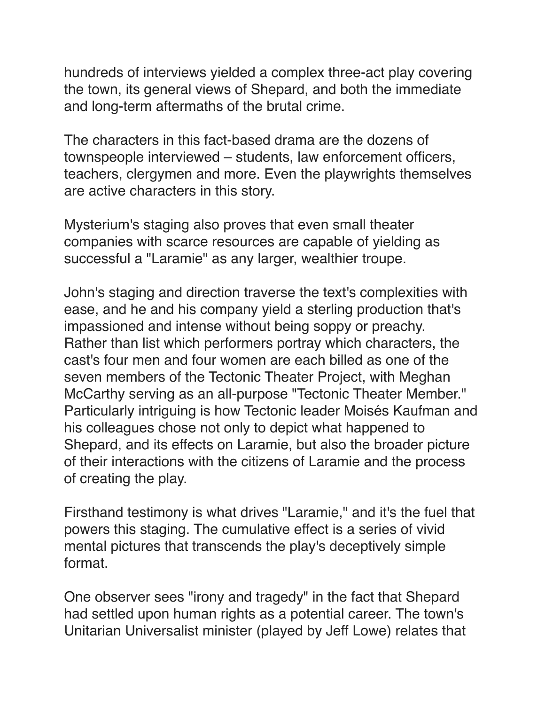hundreds of interviews yielded a complex three-act play covering the town, its general views of Shepard, and both the immediate and long-term aftermaths of the brutal crime.

The characters in this fact-based drama are the dozens of townspeople interviewed – students, law enforcement officers, teachers, clergymen and more. Even the playwrights themselves are active characters in this story.

Mysterium's staging also proves that even small theater companies with scarce resources are capable of yielding as successful a "Laramie" as any larger, wealthier troupe.

John's staging and direction traverse the text's complexities with ease, and he and his company yield a sterling production that's impassioned and intense without being soppy or preachy. Rather than list which performers portray which characters, the cast's four men and four women are each billed as one of the seven members of the Tectonic Theater Project, with Meghan McCarthy serving as an all-purpose "Tectonic Theater Member." Particularly intriguing is how Tectonic leader Moisés Kaufman and his colleagues chose not only to depict what happened to Shepard, and its effects on Laramie, but also the broader picture of their interactions with the citizens of Laramie and the process of creating the play.

Firsthand testimony is what drives "Laramie," and it's the fuel that powers this staging. The cumulative effect is a series of vivid mental pictures that transcends the play's deceptively simple format.

One observer sees "irony and tragedy" in the fact that Shepard had settled upon human rights as a potential career. The town's Unitarian Universalist minister (played by Jeff Lowe) relates that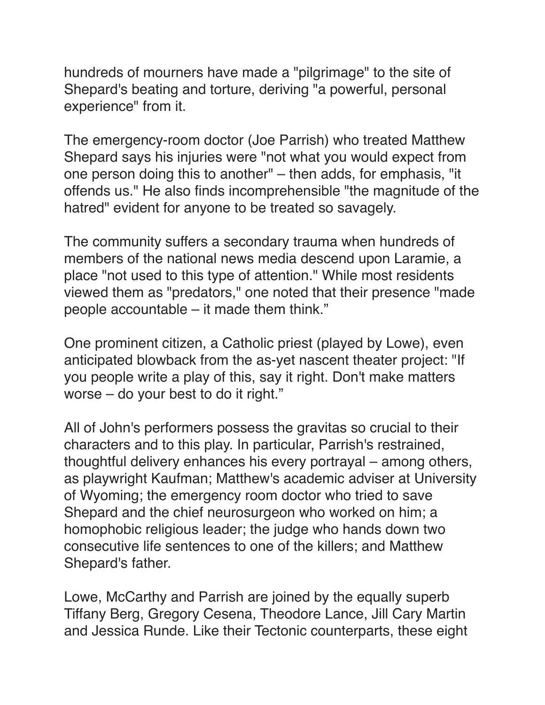hundreds of mourners have made a "pilgrimage" to the site of Shepard's beating and torture, deriving "a powerful, personal experience" from it.

The emergency-room doctor (Joe Parrish) who treated Matthew Shepard says his injuries were "not what you would expect from one person doing this to another" – then adds, for emphasis, "it offends us." He also finds incomprehensible "the magnitude of the hatred" evident for anyone to be treated so savagely.

The community suffers a secondary trauma when hundreds of members of the national news media descend upon Laramie, a place "not used to this type of attention." While most residents viewed them as "predators," one noted that their presence "made people accountable – it made them think."

One prominent citizen, a Catholic priest (played by Lowe), even anticipated blowback from the as-yet nascent theater project: "If you people write a play of this, say it right. Don't make matters worse – do your best to do it right."

All of John's performers possess the gravitas so crucial to their characters and to this play. In particular, Parrish's restrained, thoughtful delivery enhances his every portrayal – among others, as playwright Kaufman; Matthew's academic adviser at University of Wyoming; the emergency room doctor who tried to save Shepard and the chief neurosurgeon who worked on him; a homophobic religious leader; the judge who hands down two consecutive life sentences to one of the killers; and Matthew Shepard's father.

Lowe, McCarthy and Parrish are joined by the equally superb Tiffany Berg, Gregory Cesena, Theodore Lance, Jill Cary Martin and Jessica Runde. Like their Tectonic counterparts, these eight